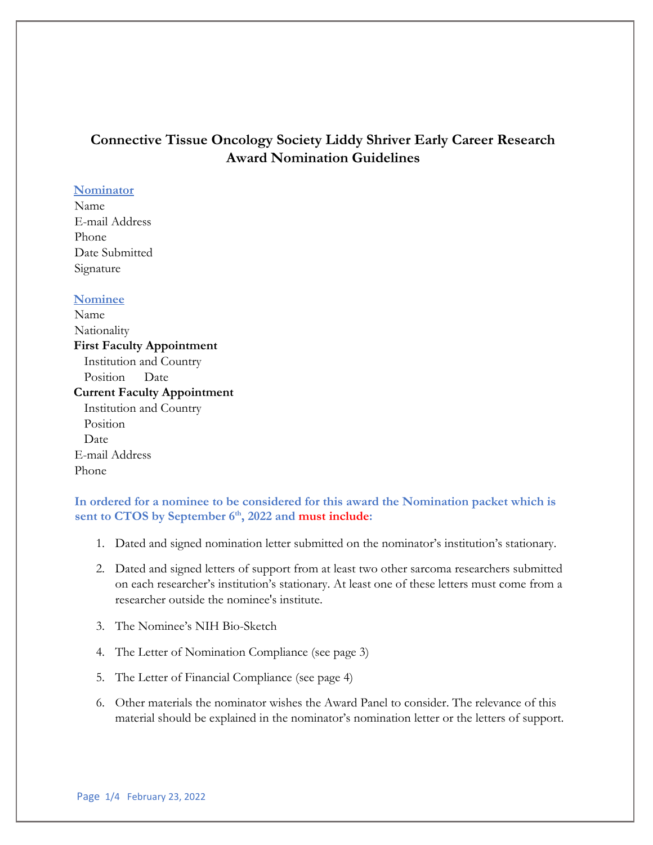# **Connective Tissue Oncology Society Liddy Shriver Early Career Research Award Nomination Guidelines**

#### **Nominator**

Name E-mail Address Phone Date Submitted Signature

### **Nominee**

Name Nationality **First Faculty Appointment**  Institution and Country Position Date **Current Faculty Appointment**  Institution and Country Position Date E-mail Address Phone

**In ordered for a nominee to be considered for this award the Nomination packet which is sent to CTOS by September 6th, 2022 and must include:** 

- 1. Dated and signed nomination letter submitted on the nominator's institution's stationary.
- 2. Dated and signed letters of support from at least two other sarcoma researchers submitted on each researcher's institution's stationary. At least one of these letters must come from a researcher outside the nominee's institute.
- 3. The Nominee's NIH Bio-Sketch
- 4. The Letter of Nomination Compliance (see page 3)
- 5. The Letter of Financial Compliance (see page 4)
- 6. Other materials the nominator wishes the Award Panel to consider. The relevance of this material should be explained in the nominator's nomination letter or the letters of support.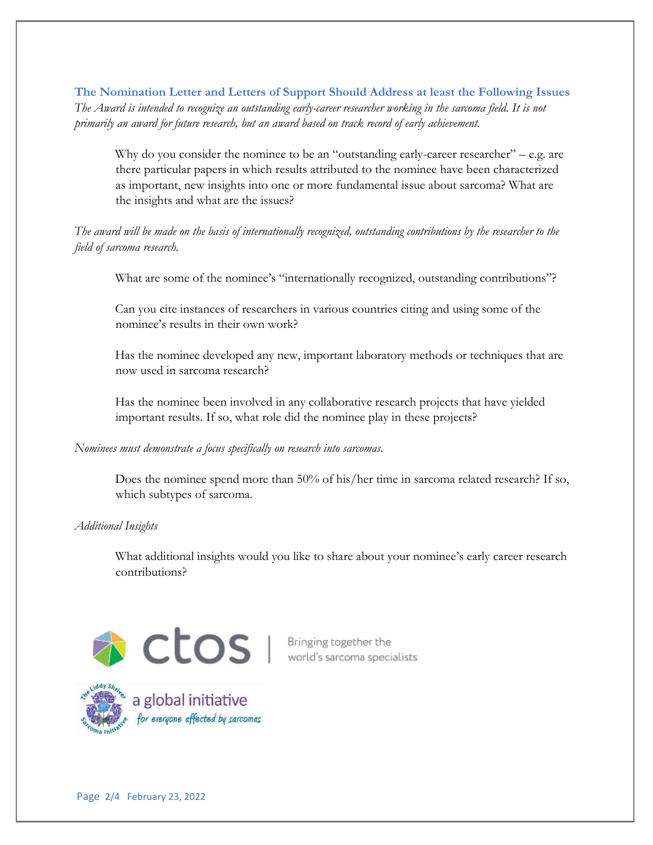**The Nomination Letter and Letters of Support Should Address at least the Following Issues**  *The Award is intended to recognize an outstanding early-career researcher working in the sarcoma field. It is not primarily an award for future research, but an award based on track record of early achievement.* 

Why do you consider the nominee to be an "outstanding early-career researcher" – e.g. are there particular papers in which results attributed to the nominee have been characterized as important, new insights into one or more fundamental issue about sarcoma? What are the insights and what are the issues?

*The award will be made on the basis of internationally recognized, outstanding contributions by the researcher to the field of sarcoma research.* 

What are some of the nominee's "internationally recognized, outstanding contributions"?

Can you cite instances of researchers in various countries citing and using some of the nominee's results in their own work?

Has the nominee developed any new, important laboratory methods or techniques that are now used in sarcoma research?

Has the nominee been involved in any collaborative research projects that have yielded important results. If so, what role did the nominee play in these projects?

#### *Nominees must demonstrate a focus specifically on research into sarcomas.*

Does the nominee spend more than 50% of his/her time in sarcoma related research? If so, which subtypes of sarcoma.

*Additional Insights* 

What additional insights would you like to share about your nominee's early career research contributions?



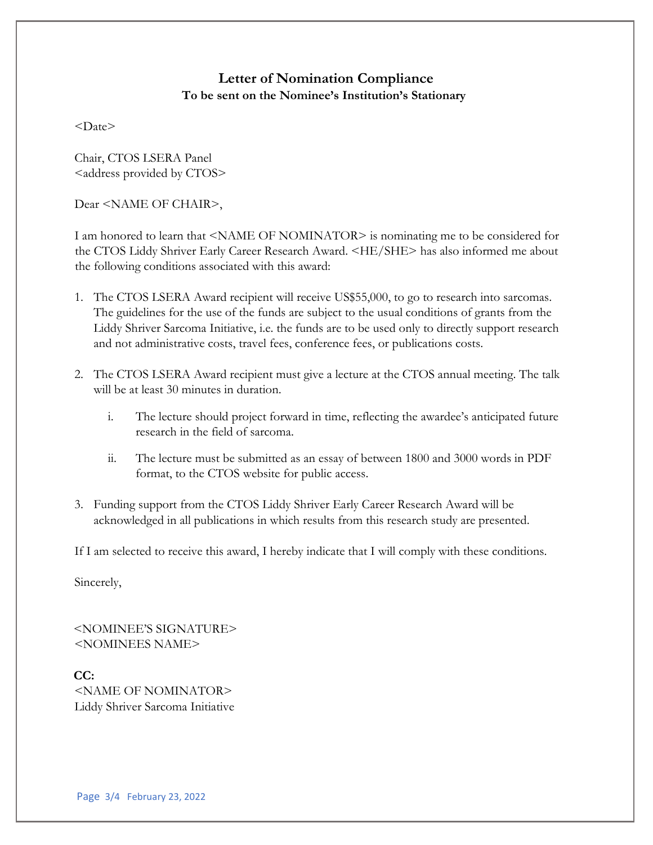### **Letter of Nomination Compliance To be sent on the Nominee's Institution's Stationary**

 $<$ Date $>$ 

Chair, CTOS LSERA Panel <address provided by CTOS>

Dear <NAME OF CHAIR>,

I am honored to learn that <NAME OF NOMINATOR> is nominating me to be considered for the CTOS Liddy Shriver Early Career Research Award. <HE/SHE> has also informed me about the following conditions associated with this award:

- 1. The CTOS LSERA Award recipient will receive US\$55,000, to go to research into sarcomas. The guidelines for the use of the funds are subject to the usual conditions of grants from the Liddy Shriver Sarcoma Initiative, i.e. the funds are to be used only to directly support research and not administrative costs, travel fees, conference fees, or publications costs.
- 2. The CTOS LSERA Award recipient must give a lecture at the CTOS annual meeting. The talk will be at least 30 minutes in duration.
	- i. The lecture should project forward in time, reflecting the awardee's anticipated future research in the field of sarcoma.
	- ii. The lecture must be submitted as an essay of between 1800 and 3000 words in PDF format, to the CTOS website for public access.
- 3. Funding support from the CTOS Liddy Shriver Early Career Research Award will be acknowledged in all publications in which results from this research study are presented.

If I am selected to receive this award, I hereby indicate that I will comply with these conditions.

Sincerely,

<NOMINEE'S SIGNATURE> <NOMINEES NAME>

**CC:**  <NAME OF NOMINATOR> Liddy Shriver Sarcoma Initiative